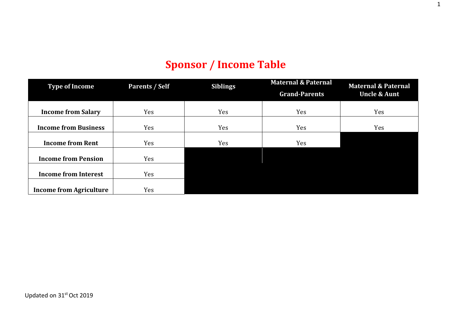# **Sponsor / Income Table**

| <b>Type of Income</b>          | Parents / Self | <b>Siblings</b> | <b>Maternal &amp; Paternal</b> | <b>Maternal &amp; Paternal</b> |
|--------------------------------|----------------|-----------------|--------------------------------|--------------------------------|
|                                |                |                 | <b>Grand-Parents</b>           | <b>Uncle &amp; Aunt</b>        |
|                                |                |                 |                                |                                |
| <b>Income from Salary</b>      | Yes            | Yes             | Yes                            | <b>Yes</b>                     |
|                                |                |                 |                                |                                |
| <b>Income from Business</b>    | Yes            | Yes             | Yes                            | Yes                            |
|                                |                |                 |                                |                                |
| <b>Income from Rent</b>        | Yes            | Yes             | Yes                            |                                |
|                                |                |                 |                                |                                |
| <b>Income from Pension</b>     | Yes            |                 |                                |                                |
|                                |                |                 |                                |                                |
| <b>Income from Interest</b>    | Yes            |                 |                                |                                |
|                                |                |                 |                                |                                |
| <b>Income from Agriculture</b> | Yes            |                 |                                |                                |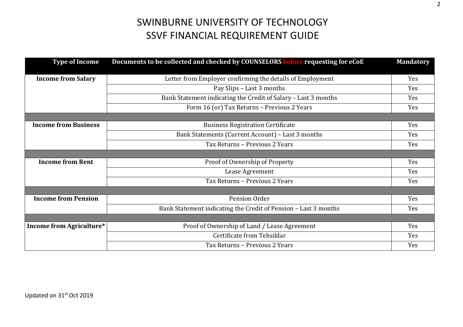| <b>Type of Income</b>           | Documents to be collected and checked by COUNSELORS before requesting for eCoE |            |  |
|---------------------------------|--------------------------------------------------------------------------------|------------|--|
|                                 |                                                                                |            |  |
| <b>Income from Salary</b>       | Letter from Employer confirming the details of Employment                      | Yes        |  |
|                                 | Pay Slips - Last 3 months                                                      | <b>Yes</b> |  |
|                                 | Bank Statement indicating the Credit of Salary - Last 3 months                 | Yes        |  |
|                                 | Form 16 (or) Tax Returns - Previous 2 Years                                    | Yes        |  |
|                                 |                                                                                |            |  |
| <b>Income from Business</b>     | <b>Business Registration Certificate</b>                                       | Yes        |  |
|                                 | Bank Statements (Current Account) - Last 3 months                              | Yes        |  |
|                                 | Tax Returns - Previous 2 Years                                                 | <b>Yes</b> |  |
|                                 |                                                                                |            |  |
| <b>Income from Rent</b>         | Proof of Ownership of Property                                                 | Yes        |  |
|                                 | Lease Agreement                                                                |            |  |
|                                 | Tax Returns - Previous 2 Years                                                 | Yes        |  |
|                                 |                                                                                |            |  |
| <b>Income from Pension</b>      | Pension Order                                                                  | Yes        |  |
|                                 | Bank Statement indicating the Credit of Pension - Last 3 months                | Yes        |  |
|                                 |                                                                                |            |  |
| <b>Income from Agriculture*</b> | Proof of Ownership of Land / Lease Agreement                                   | Yes        |  |
|                                 | Certificate from Tehsildar                                                     | Yes        |  |
|                                 | Tax Returns - Previous 2 Years                                                 | Yes        |  |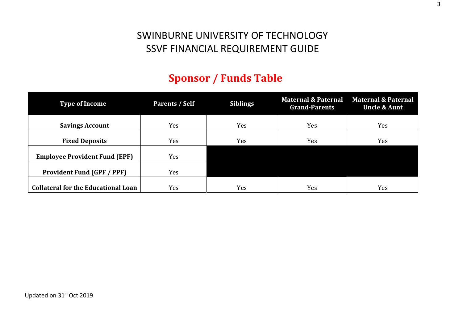# **Sponsor / Funds Table**

| Type of Income                             | Parents / Self | <b>Siblings</b> | <b>Grand-Parents</b> | Maternal & Paternal Maternal & Paternal<br><b>Uncle &amp; Aunt</b> |
|--------------------------------------------|----------------|-----------------|----------------------|--------------------------------------------------------------------|
| <b>Savings Account</b>                     | Yes            | Yes             | Yes                  | Yes                                                                |
| <b>Fixed Deposits</b>                      | Yes            | Yes             | Yes                  | Yes                                                                |
| <b>Employee Provident Fund (EPF)</b>       | Yes            |                 |                      |                                                                    |
| <b>Provident Fund (GPF / PPF)</b>          | Yes            |                 |                      |                                                                    |
| <b>Collateral for the Educational Loan</b> | Yes            | Yes             | Yes                  | Yes                                                                |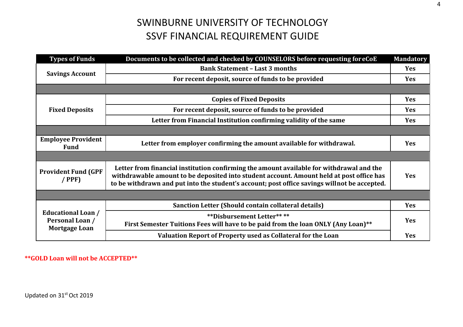| <b>Types of Funds</b>                                                | Documents to be collected and checked by COUNSELORS before requesting for eCoE<br><b>Mandatory</b>                                                                                                                                                                                    |            |  |
|----------------------------------------------------------------------|---------------------------------------------------------------------------------------------------------------------------------------------------------------------------------------------------------------------------------------------------------------------------------------|------------|--|
|                                                                      | <b>Bank Statement - Last 3 months</b>                                                                                                                                                                                                                                                 |            |  |
| <b>Savings Account</b>                                               | For recent deposit, source of funds to be provided                                                                                                                                                                                                                                    |            |  |
|                                                                      |                                                                                                                                                                                                                                                                                       |            |  |
| <b>Fixed Deposits</b>                                                | <b>Copies of Fixed Deposits</b>                                                                                                                                                                                                                                                       |            |  |
|                                                                      | For recent deposit, source of funds to be provided                                                                                                                                                                                                                                    |            |  |
|                                                                      | Letter from Financial Institution confirming validity of the same                                                                                                                                                                                                                     |            |  |
|                                                                      |                                                                                                                                                                                                                                                                                       |            |  |
| <b>Employee Provident</b><br><b>Fund</b>                             | Letter from employer confirming the amount available for withdrawal.                                                                                                                                                                                                                  | <b>Yes</b> |  |
|                                                                      |                                                                                                                                                                                                                                                                                       |            |  |
| <b>Provident Fund (GPF</b><br>$/$ PPF)                               | Letter from financial institution confirming the amount available for withdrawal and the<br>withdrawable amount to be deposited into student account. Amount held at post office has<br>to be withdrawn and put into the student's account; post office savings will not be accepted. | <b>Yes</b> |  |
|                                                                      |                                                                                                                                                                                                                                                                                       |            |  |
| <b>Educational Loan /</b><br>Personal Loan /<br><b>Mortgage Loan</b> | Sanction Letter (Should contain collateral details)                                                                                                                                                                                                                                   |            |  |
|                                                                      | <b>**Disbursement Letter****</b><br>First Semester Tuitions Fees will have to be paid from the loan ONLY (Any Loan)**                                                                                                                                                                 |            |  |
|                                                                      | Valuation Report of Property used as Collateral for the Loan                                                                                                                                                                                                                          | <b>Yes</b> |  |

**\*\*GOLD Loan will not be ACCEPTED\*\***

Updated on 31st Oct 2019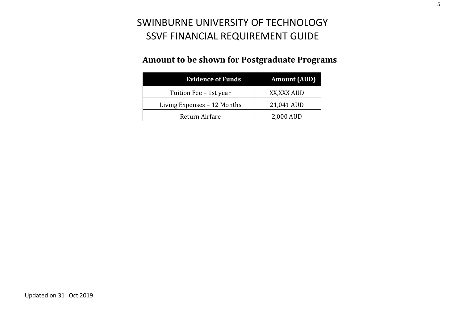### **Amount to be shown for Postgraduate Programs**

| <b>Evidence of Funds</b>    | <b>Amount (AUD)</b> |  |
|-----------------------------|---------------------|--|
| Tuition Fee - 1st year      | XX, XXX AUD         |  |
| Living Expenses - 12 Months | 21,041 AUD          |  |
| Return Airfare              | 2,000 AUD           |  |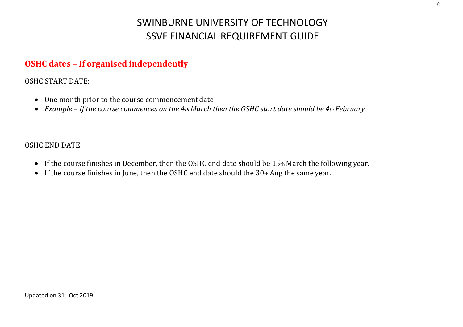### **OSHC dates – If organised independently**

OSHC START DATE:

- $\bullet$ One month prior to the course commencement date
- Example If the course commences on the 4th March then the OSHC start date should be 4th February

#### OSHC END DATE:

- If the course finishes in December, then the OSHC end date should be 15th March the following year.
- $\bullet$ If the course finishes in June, then the OSHC end date should the  $30<sub>th</sub>$  Aug the same year.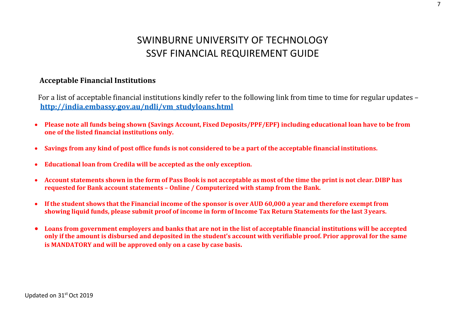#### **Acceptable Financial Institutions**

For a list of acceptable financial institutions kindly refer to the following link from time to time for regular updates – **http://india.embassy.gov.au/ndli/vm\_studyloans.html**

- $\bullet$ • Please note all funds being shown (Savings Account, Fixed Deposits/PPF/EPF) including educational loan have to be from **one of the listed financial institutions only.**
- $\bullet$ Savings from any kind of post office funds is not considered to be a part of the acceptable financial institutions.
- $\bullet$ **Educational loan from Credila will be accepted as the only exception.**
- $\bullet$ • Account statements shown in the form of Pass Book is not acceptable as most of the time the print is not clear. DIBP has **requested for Bank account statements – Online / Computerized with stamp from the Bank.**
- $\bullet$ • If the student shows that the Financial income of the sponsor is over AUD 60,000 a year and therefore exempt from showing liquid funds, please submit proof of income in form of Income Tax Return Statements for the last 3 years.
- $\bullet$ • Loans from government employers and banks that are not in the list of acceptable financial institutions will be accepted only if the amount is disbursed and deposited in the student's account with verifiable proof. Prior approval for the same **is MANDATORY and will be approved only on <sup>a</sup> case by case basis.**